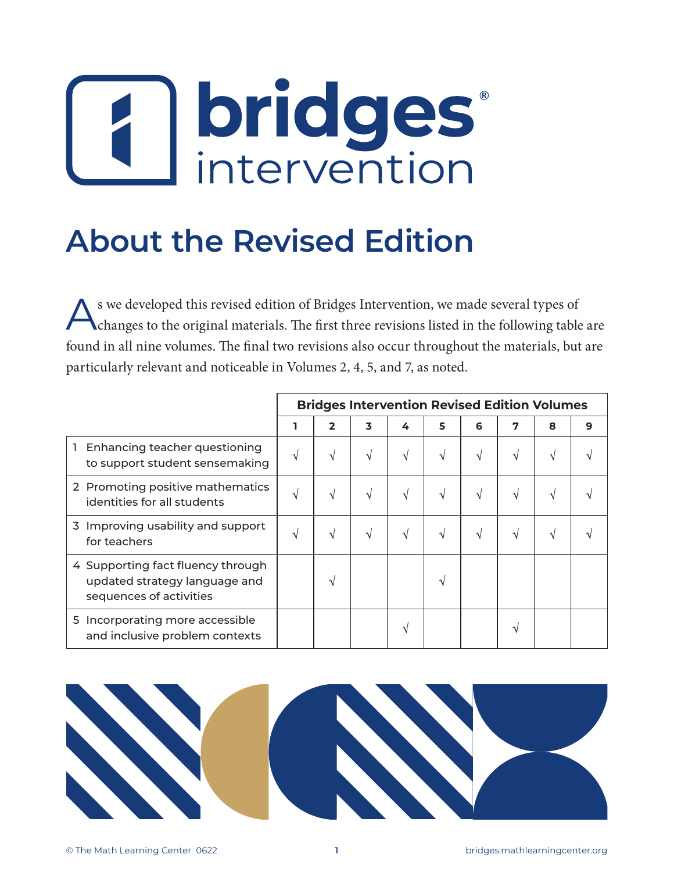# **bridges**<br>intervention

## **About the Revised Edition**

s we developed this revised edition of Bridges Intervention, we made several types of changes to the original materials. The first three revisions listed in the following table are found in all nine volumes. The final two revisions also occur throughout the materials, but are particularly relevant and noticeable in Volumes 2, 4, 5, and 7, as noted.

|                                                                                               | <b>Bridges Intervention Revised Edition Volumes</b> |               |            |   |   |   |   |   |   |
|-----------------------------------------------------------------------------------------------|-----------------------------------------------------|---------------|------------|---|---|---|---|---|---|
|                                                                                               |                                                     | $\mathbf{2}$  | 3          | 4 | 5 | 6 | 7 | 8 | 9 |
| Enhancing teacher questioning<br>to support student sensemaking                               | V                                                   | V             | V          | V | V |   | V |   |   |
| 2 Promoting positive mathematics<br>identities for all students                               | V                                                   | V             | $\sqrt{ }$ | V | V |   | V |   |   |
| 3 Improving usability and support<br>for teachers                                             | V                                                   | V             | $\sqrt{ }$ | V | V | V | V |   |   |
| 4 Supporting fact fluency through<br>updated strategy language and<br>sequences of activities |                                                     | $\mathcal{L}$ |            |   |   |   |   |   |   |
| 5 Incorporating more accessible<br>and inclusive problem contexts                             |                                                     |               |            |   |   |   |   |   |   |

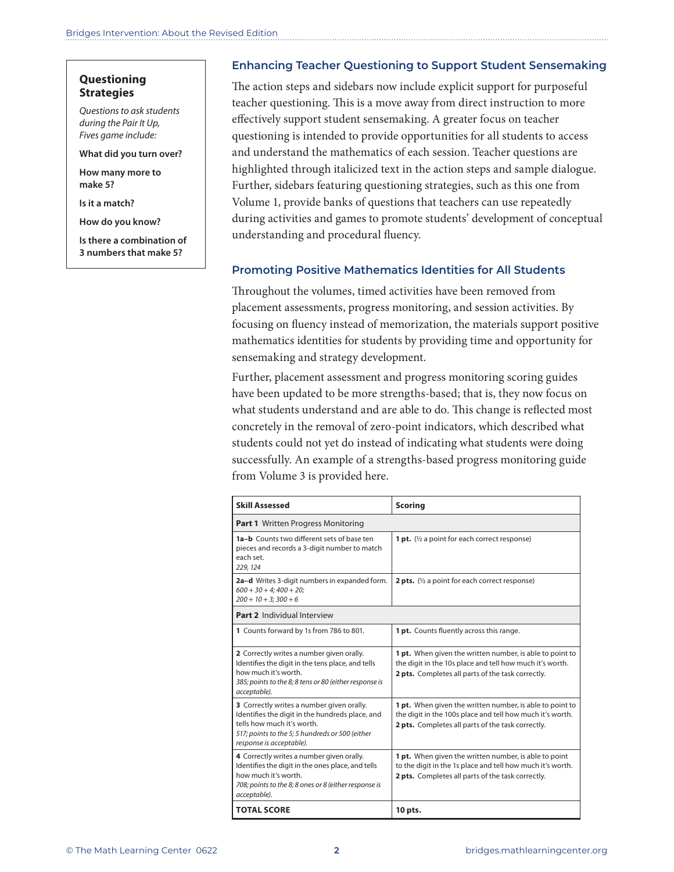#### **Questioning Strategies**

*Questions to ask students during the Pair It Up, Fives game include:* 

**What did you turn over?**

**How many more to make 5?**

**Is it a match?** 

**How do you know?**

**Is there a combination of 3 numbers that make 5?**

#### **Enhancing Teacher Questioning to Support Student Sensemaking**

The action steps and sidebars now include explicit support for purposeful teacher questioning. This is a move away from direct instruction to more effectively support student sensemaking. A greater focus on teacher questioning is intended to provide opportunities for all students to access and understand the mathematics of each session. Teacher questions are highlighted through italicized text in the action steps and sample dialogue. Further, sidebars featuring questioning strategies, such as this one from Volume 1, provide banks of questions that teachers can use repeatedly during activities and games to promote students' development of conceptual understanding and procedural fluency.

#### **Promoting Positive Mathematics Identities for All Students**

Throughout the volumes, timed activities have been removed from placement assessments, progress monitoring, and session activities. By focusing on fluency instead of memorization, the materials support positive mathematics identities for students by providing time and opportunity for sensemaking and strategy development.

Further, placement assessment and progress monitoring scoring guides have been updated to be more strengths-based; that is, they now focus on what students understand and are able to do. This change is reflected most concretely in the removal of zero-point indicators, which described what students could not yet do instead of indicating what students were doing successfully. An example of a strengths-based progress monitoring guide from Volume 3 is provided here. m<br>Die

| <b>Skill Assessed</b>                                                                                                                                                                                     | <b>Scoring</b>                                                                                                                                                                   |  |  |  |  |  |
|-----------------------------------------------------------------------------------------------------------------------------------------------------------------------------------------------------------|----------------------------------------------------------------------------------------------------------------------------------------------------------------------------------|--|--|--|--|--|
| <b>Part 1</b> Written Progress Monitoring                                                                                                                                                                 |                                                                                                                                                                                  |  |  |  |  |  |
| 1a-b Counts two different sets of base ten<br>pieces and records a 3-digit number to match<br>each set.<br>229, 124                                                                                       | <b>1 pt.</b> ( $\frac{1}{2}$ a point for each correct response)                                                                                                                  |  |  |  |  |  |
| 2a-d Writes 3-digit numbers in expanded form.<br>$600 + 30 + 4$ ; $400 + 20$ ;<br>$200 + 10 + 3$ ; $300 + 6$                                                                                              | <b>2 pts.</b> ( $\frac{1}{2}$ a point for each correct response)                                                                                                                 |  |  |  |  |  |
| Part 2 Individual Interview                                                                                                                                                                               |                                                                                                                                                                                  |  |  |  |  |  |
| 1 Counts forward by 1s from 786 to 801.                                                                                                                                                                   | 1 pt. Counts fluently across this range.                                                                                                                                         |  |  |  |  |  |
| 2 Correctly writes a number given orally.<br>Identifies the digit in the tens place, and tells<br>how much it's worth<br>385; points to the 8; 8 tens or 80 (either response is<br>acceptable).           | <b>1 pt.</b> When given the written number, is able to point to<br>the digit in the 10s place and tell how much it's worth.<br>2 pts. Completes all parts of the task correctly. |  |  |  |  |  |
| 3 Correctly writes a number given orally.<br>Identifies the digit in the hundreds place, and<br>tells how much it's worth.<br>517; points to the 5; 5 hundreds or 500 (either<br>response is acceptable). | 1 pt. When given the written number, is able to point to<br>the digit in the 100s place and tell how much it's worth.<br>2 pts. Completes all parts of the task correctly.       |  |  |  |  |  |
| 4 Correctly writes a number given orally.<br>Identifies the digit in the ones place, and tells<br>how much it's worth<br>708; points to the 8; 8 ones or 8 (either response is<br>acceptable).            | 1 pt. When given the written number, is able to point<br>to the digit in the 1s place and tell how much it's worth.<br>2 pts. Completes all parts of the task correctly.         |  |  |  |  |  |
| <b>TOTAL SCORE</b>                                                                                                                                                                                        | 10 pts.                                                                                                                                                                          |  |  |  |  |  |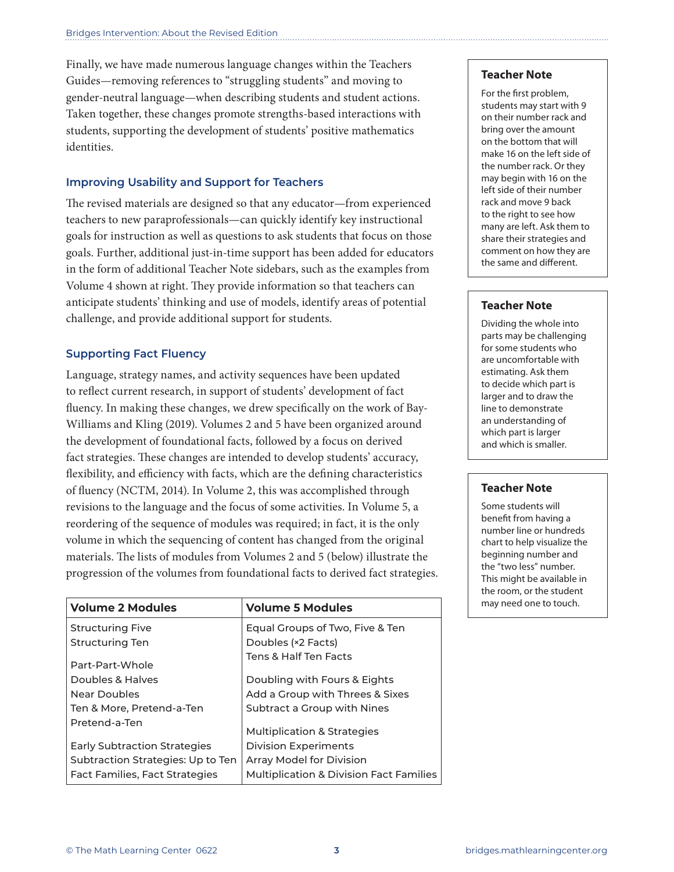Finally, we have made numerous language changes within the Teachers Guides—removing references to "struggling students" and moving to gender-neutral language—when describing students and student actions. Taken together, these changes promote strengths-based interactions with students, supporting the development of students' positive mathematics identities.  $\tilde{\mathcal{L}}$  sh crackers in his snack cup. Twelve final share gold,  $\tilde{\mathcal{L}}$  sh crackers were good,  $\tilde{\mathcal{L}}$  so  $\tilde{\mathcal{L}}$  share gold,  $\tilde{\mathcal{L}}$  share gold,  $\tilde{\mathcal{L}}$  share goed,  $\tilde{\mathcal{L}}$  share goed,  $\tilde{\mathcal{$ 

### Improving Usability and Support for Teachers

The revised materials are designed so that any educator—from experienced teachers to new paraprofessionals—can quickly identify key instructional teachers to new paraprofessionals—can quickly identify key instructional goals for instruction as well as questions to ask students that focus on those goals for instruction as well as questions to ask students that focus on those<br>goals. Further, additional just-in-time support has been added for educators comment on how<br>the same and di in the form of additional Teacher Note sidebars, such as the examples from Volume 4 shown at right. They provide information so that teachers can anticipate students' thinking and use of models, identify areas of potential challenge, and provide additional support for students. **P3–P4** Solving More Pet  $\mathcal{L}^2$  = 12  $\mathcal{L}^2$  +  $\mathcal{L}^2$ teachers to new paraprofessionals—can quickly identify

#### **Comporting Fact Fluency are located at the top of each print original.**

Language, strategy names, and activity sequences have been updated to reflect current research, in support of students' development of fact fluency. In making these changes, we drew specifically on the work of Bay-Williams and Kling (2019). Volumes 2 and 5 have been organized around the development of foundational facts, followed by a focus on derived fact strategies. These changes are intended to develop students' accuracy, flexibility, and efficiency with facts, which are the defining characteristics of fluency (NCTM, 2014). In Volume 2, this was accomplished through revisions to the language and the focus of some activities. In Volume 5, a reordering of the sequence of modules was required; in fact, it is the only volume in which the sequencing of content has changed from the original materials. The lists of modules from Volumes 2 and 5 (below) illustrate the progression of the volumes from foundational facts to derived fact strategies.  $\frac{1}{3}$  and  $\frac{1}{3}$  for  $\frac{1}{3}$  for  $\frac{1}{3}$  for  $\frac{1}{3}$  for  $\frac{1}{3}$   $\frac{1}{3}$  for  $\frac{1}{3}$  is  $\frac{1}{3}$ .

| <b>Volume 2 Modules</b>             | <b>Volume 5 Modules</b>                            |
|-------------------------------------|----------------------------------------------------|
| <b>Structuring Five</b>             | Equal Groups of Two, Five & Ten                    |
| <b>Structuring Ten</b>              | Doubles (×2 Facts)                                 |
| Part-Part-Whole                     | <b>Tens &amp; Half Ten Facts</b>                   |
| Doubles & Halves                    | Doubling with Fours & Eights                       |
| Near Doubles                        | Add a Group with Threes & Sixes                    |
| Ten & More, Pretend-a-Ten           | Subtract a Group with Nines                        |
| Pretend-a-Ten                       | <b>Multiplication &amp; Strategies</b>             |
| <b>Early Subtraction Strategies</b> | <b>Division Experiments</b>                        |
| Subtraction Strategies: Up to Ten   | Array Model for Division                           |
| Fact Families, Fact Strategies      | <b>Multiplication &amp; Division Fact Families</b> |

#### **Teacher Note**

For the first problem, students may start with 9 on their number rack and bring over the amount on the bottom that will make 16 on the left side of the number rack. Or they may begin with 16 on the left side of their number rack and move 9 back to the right to see how many are left. Ask them to share their strategies and comment on how they are the same and different.

#### **Instructional Goals** Teacher Note **Teacher Note**

the same and diff erent.

Dividing the whole into parts may be challenging nuely<br>for some students who are uncomfortable with estimating. Ask them larger and to draw the line to demonstrate an understanding of which part is larger and which is smaller. to decide which part is

#### **Teacher Note**

with 2002.<br>Within 2002

 Some students will benefit from having a number line or hundreds chart to help visualize the beginning number and the "two less" number. This might be available in the room, or the student may need one to touch.